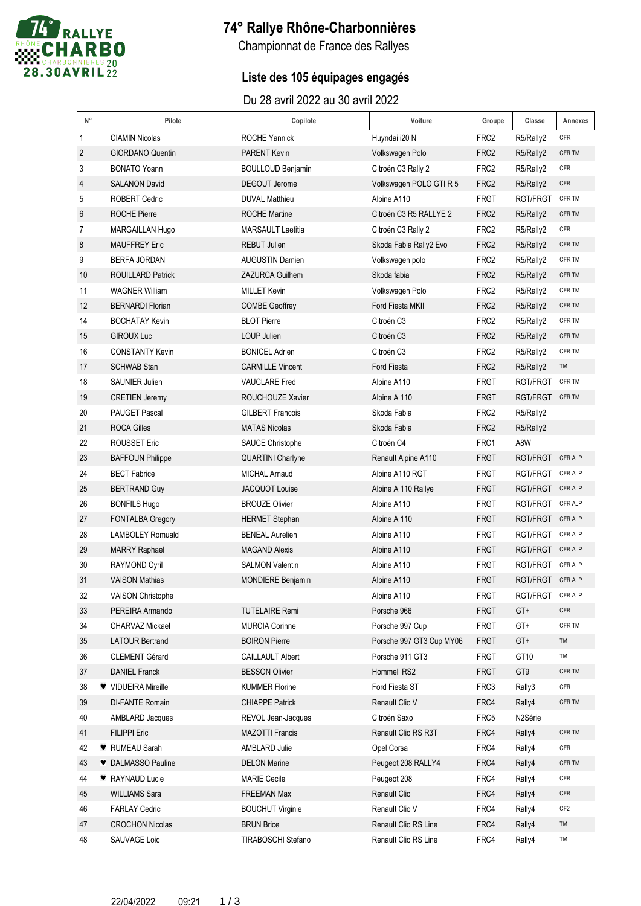

# **74° Rallye Rhône-Charbonnières**

Championnat de France des Rallyes

### **Liste des 105 équipages engagés**

Du 28 avril 2022 au 30 avril 2022

| $\mathsf{N}^\circ$ | Pilote                   | Copilote                 | Voiture                  | Groupe           | Classe           | Annexes         |
|--------------------|--------------------------|--------------------------|--------------------------|------------------|------------------|-----------------|
| 1                  | <b>CIAMIN Nicolas</b>    | <b>ROCHE Yannick</b>     | Huyndai i20 N            | FRC <sub>2</sub> | R5/Rally2        | <b>CFR</b>      |
| 2                  | <b>GIORDANO Quentin</b>  | <b>PARENT Kevin</b>      | Volkswagen Polo          | FRC <sub>2</sub> | R5/Rally2        | CFR TM          |
| 3                  | <b>BONATO Yoann</b>      | <b>BOULLOUD Benjamin</b> | Citroën C3 Rally 2       | FRC <sub>2</sub> | R5/Rally2        | <b>CFR</b>      |
| 4                  | <b>SALANON David</b>     | <b>DEGOUT Jerome</b>     | Volkswagen POLO GTI R 5  | FRC <sub>2</sub> | R5/Rally2        | CFR             |
| 5                  | <b>ROBERT Cedric</b>     | <b>DUVAL Matthieu</b>    | Alpine A110              | <b>FRGT</b>      | RGT/FRGT         | CFR TM          |
| 6                  | <b>ROCHE Pierre</b>      | <b>ROCHE Martine</b>     | Citroën C3 R5 RALLYE 2   | FRC <sub>2</sub> | R5/Rally2        | CFR TM          |
| 7                  | MARGAILLAN Hugo          | <b>MARSAULT Laetitia</b> | Citroën C3 Rally 2       | FRC <sub>2</sub> | R5/Rally2        | <b>CFR</b>      |
| 8                  | <b>MAUFFREY Eric</b>     | <b>REBUT Julien</b>      | Skoda Fabia Rally2 Evo   | FRC <sub>2</sub> | R5/Rally2        | CFR TM          |
| 9                  | <b>BERFA JORDAN</b>      | <b>AUGUSTIN Damien</b>   | Volkswagen polo          | FRC <sub>2</sub> | R5/Rally2        | CFR TM          |
| 10                 | <b>ROUILLARD Patrick</b> | <b>ZAZURCA Guilhem</b>   | Skoda fabia              | FRC <sub>2</sub> | R5/Rally2        | CFR TM          |
| 11                 | <b>WAGNER William</b>    | <b>MILLET Kevin</b>      | Volkswagen Polo          | FRC <sub>2</sub> | R5/Rally2        | CFR TM          |
| 12                 | <b>BERNARDI Florian</b>  | <b>COMBE Geoffrey</b>    | Ford Fiesta MKII         | FRC <sub>2</sub> | R5/Rally2        | CFR TM          |
| 14                 | <b>BOCHATAY Kevin</b>    | <b>BLOT Pierre</b>       | Citroën C3               | FRC <sub>2</sub> | R5/Rally2        | CFR TM          |
| 15                 | <b>GIROUX Luc</b>        | <b>LOUP Julien</b>       | Citroën C3               | FRC <sub>2</sub> | R5/Rally2        | CFR TM          |
| 16                 | <b>CONSTANTY Kevin</b>   | <b>BONICEL Adrien</b>    | Citroën C <sub>3</sub>   | FRC <sub>2</sub> | R5/Rally2        | CFR TM          |
| 17                 | <b>SCHWAB Stan</b>       | <b>CARMILLE Vincent</b>  | <b>Ford Fiesta</b>       | FRC <sub>2</sub> | R5/Rally2        | TM              |
| 18                 | SAUNIER Julien           | <b>VAUCLARE</b> Fred     | Alpine A110              | <b>FRGT</b>      | RGT/FRGT         | CFR TM          |
| 19                 | <b>CRETIEN Jeremy</b>    | ROUCHOUZE Xavier         | Alpine A 110             | <b>FRGT</b>      | RGT/FRGT CFR TM  |                 |
| 20                 | <b>PAUGET Pascal</b>     | <b>GILBERT Francois</b>  | Skoda Fabia              | FRC <sub>2</sub> | R5/Rally2        |                 |
| 21                 | <b>ROCA Gilles</b>       | <b>MATAS Nicolas</b>     | Skoda Fabia              | FRC <sub>2</sub> | R5/Rally2        |                 |
| 22                 | <b>ROUSSET Eric</b>      | <b>SAUCE Christophe</b>  | Citroën C4               | FRC1             | A8W              |                 |
| 23                 | <b>BAFFOUN Philippe</b>  | <b>QUARTINI Charlyne</b> | Renault Alpine A110      | <b>FRGT</b>      | RGT/FRGT CFR ALP |                 |
| 24                 | <b>BECT Fabrice</b>      | <b>MICHAL Arnaud</b>     | Alpine A110 RGT          | <b>FRGT</b>      | RGT/FRGT         | <b>CFR ALP</b>  |
| 25                 | <b>BERTRAND Guy</b>      | JACQUOT Louise           | Alpine A 110 Rallye      | <b>FRGT</b>      | RGT/FRGT CFR ALP |                 |
| 26                 | <b>BONFILS Hugo</b>      | <b>BROUZE Olivier</b>    | Alpine A110              | FRGT             | RGT/FRGT CFR ALP |                 |
| 27                 | <b>FONTALBA Gregory</b>  | <b>HERMET Stephan</b>    | Alpine A 110             | <b>FRGT</b>      | RGT/FRGT CFR ALP |                 |
| 28                 | <b>LAMBOLEY Romuald</b>  | <b>BENEAL Aurelien</b>   | Alpine A110              | FRGT             | RGT/FRGT CFR ALP |                 |
| 29                 | <b>MARRY Raphael</b>     | <b>MAGAND Alexis</b>     | Alpine A110              | <b>FRGT</b>      | RGT/FRGT CFR ALP |                 |
| 30                 | <b>RAYMOND Cyril</b>     | <b>SALMON Valentin</b>   | Alpine A110              | <b>FRGT</b>      | RGT/FRGT CFR ALP |                 |
| 31                 | <b>VAISON Mathias</b>    | <b>MONDIERE Benjamin</b> | Alpine A110              | <b>FRGT</b>      | RGT/FRGT CFR ALP |                 |
| 32                 | VAISON Christophe        |                          | Alpine A110              | <b>FRGT</b>      | RGT/FRGT         | CFR ALP         |
| 33                 | PEREIRA Armando          | <b>TUTELAIRE Remi</b>    | Porsche 966              | <b>FRGT</b>      | GT+              | CFR             |
| 34                 | CHARVAZ Mickael          | <b>MURCIA Corinne</b>    | Porsche 997 Cup          | <b>FRGT</b>      | GT+              | CFR TM          |
| 35                 | <b>LATOUR Bertrand</b>   | <b>BOIRON Pierre</b>     | Porsche 997 GT3 Cup MY06 | <b>FRGT</b>      | GT+              | TM              |
| 36                 | <b>CLEMENT Gérard</b>    | <b>CAILLAULT Albert</b>  | Porsche 911 GT3          | FRGT             | GT10             | TM              |
| 37                 | <b>DANIEL Franck</b>     | <b>BESSON Olivier</b>    | Hommell RS2              | <b>FRGT</b>      | GT9              | CFR TM          |
| 38                 | V VIDUEIRA Mireille      | <b>KUMMER Florine</b>    | Ford Fiesta ST           | FRC3             | Rally3           | <b>CFR</b>      |
| 39                 | DI-FANTE Romain          | <b>CHIAPPE Patrick</b>   | Renault Clio V           | FRC4             | Rally4           | CFR TM          |
| 40                 | AMBLARD Jacques          | REVOL Jean-Jacques       | Citroën Saxo             | FRC5             | N2Série          |                 |
| 41                 | <b>FILIPPI Eric</b>      | <b>MAZOTTI Francis</b>   | Renault Clio RS R3T      | FRC4             | Rally4           | CFR TM          |
| 42                 | ♥ RUMEAU Sarah           | AMBLARD Julie            | Opel Corsa               | FRC4             | Rally4           | <b>CFR</b>      |
| 43                 | DALMASSO Pauline         | <b>DELON Marine</b>      | Peugeot 208 RALLY4       | FRC4             | Rally4           | CFR TM          |
| 44                 | RAYNAUD Lucie            | <b>MARIE Cecile</b>      | Peugeot 208              | FRC4             | Rally4           | <b>CFR</b>      |
| 45                 | <b>WILLIAMS Sara</b>     | <b>FREEMAN Max</b>       | Renault Clio             | FRC4             | Rally4           | <b>CFR</b>      |
| 46                 | <b>FARLAY Cedric</b>     | <b>BOUCHUT Virginie</b>  | Renault Clio V           | FRC4             | Rally4           | CF <sub>2</sub> |
| 47                 | <b>CROCHON Nicolas</b>   | <b>BRUN Brice</b>        | Renault Clio RS Line     | FRC4             | Rally4           | TM              |
| 48                 | SAUVAGE Loic             | TIRABOSCHI Stefano       | Renault Clio RS Line     | FRC4             | Rally4           | TM              |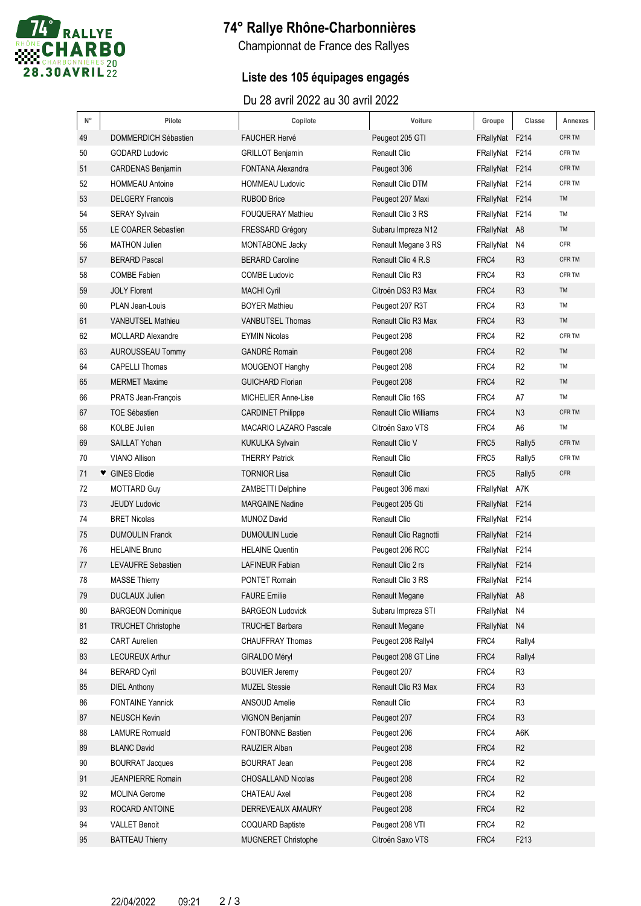

# **74° Rallye Rhône-Charbonnières**

Championnat de France des Rallyes

### **Liste des 105 équipages engagés**

Du 28 avril 2022 au 30 avril 2022

| $\mathsf{N}^\circ$ | Pilote                    | Copilote                      | Voiture                      | Groupe         | Classe             | Annexes    |
|--------------------|---------------------------|-------------------------------|------------------------------|----------------|--------------------|------------|
| 49                 | DOMMERDICH Sébastien      | <b>FAUCHER Hervé</b>          | Peugeot 205 GTI              | FRallyNat F214 |                    | CFR TM     |
| 50                 | <b>GODARD Ludovic</b>     | <b>GRILLOT Benjamin</b>       | <b>Renault Clio</b>          | FRallyNat F214 |                    | CFR TM     |
| 51                 | <b>CARDENAS Benjamin</b>  | <b>FONTANA Alexandra</b>      | Peugeot 306                  | FRallyNat F214 |                    | CFR TM     |
| 52                 | <b>HOMMEAU Antoine</b>    | <b>HOMMEAU Ludovic</b>        | Renault Clio DTM             | FRallyNat F214 |                    | CFR TM     |
| 53                 | <b>DELGERY Francois</b>   | <b>RUBOD Brice</b>            | Peugeot 207 Maxi             | FRallyNat F214 |                    | TM         |
| 54                 | <b>SERAY Sylvain</b>      | <b>FOUQUERAY Mathieu</b>      | Renault Clio 3 RS            | FRallyNat F214 |                    | TM         |
| 55                 | LE COARER Sebastien       | <b>FRESSARD Grégory</b>       | Subaru Impreza N12           | FRallyNat A8   |                    | TM         |
| 56                 | <b>MATHON Julien</b>      | <b>MONTABONE Jacky</b>        | Renault Megane 3 RS          | FRallyNat N4   |                    | <b>CFR</b> |
| 57                 | <b>BERARD Pascal</b>      | <b>BERARD Caroline</b>        | Renault Clio 4 R.S.          | FRC4           | R <sub>3</sub>     | CFR TM     |
| 58                 | <b>COMBE Fabien</b>       | <b>COMBE Ludovic</b>          | Renault Clio R3              | FRC4           | R <sub>3</sub>     | CFR TM     |
| 59                 | <b>JOLY Florent</b>       | <b>MACHI Cyril</b>            | Citroën DS3 R3 Max           | FRC4           | R <sub>3</sub>     | TM         |
| 60                 | PLAN Jean-Louis           | <b>BOYER Mathieu</b>          | Peugeot 207 R3T              | FRC4           | R <sub>3</sub>     | TM         |
| 61                 | <b>VANBUTSEL Mathieu</b>  | <b>VANBUTSEL Thomas</b>       | Renault Clio R3 Max          | FRC4           | R <sub>3</sub>     | TM         |
| 62                 | <b>MOLLARD Alexandre</b>  | <b>EYMIN Nicolas</b>          | Peugeot 208                  | FRC4           | R <sub>2</sub>     | CFR TM     |
| 63                 | AUROUSSEAU Tommy          | <b>GANDRÉ Romain</b>          | Peugeot 208                  | FRC4           | R <sub>2</sub>     | TM         |
| 64                 | <b>CAPELLI Thomas</b>     | MOUGENOT Hanghy               | Peugeot 208                  | FRC4           | R <sub>2</sub>     | TM         |
| 65                 | <b>MERMET Maxime</b>      | <b>GUICHARD Florian</b>       | Peugeot 208                  | FRC4           | R <sub>2</sub>     | TM         |
| 66                 | PRATS Jean-François       | MICHELIER Anne-Lise           | Renault Clio 16S             | FRC4           | A7                 | TM         |
| 67                 | <b>TOE Sébastien</b>      | <b>CARDINET Philippe</b>      | <b>Renault Clio Williams</b> | FRC4           | N <sub>3</sub>     | CFR TM     |
| 68                 | <b>KOLBE Julien</b>       | <b>MACARIO LAZARO Pascale</b> | Citroën Saxo VTS             | FRC4           | A6                 | TM         |
| 69                 | SAILLAT Yohan             | <b>KUKULKA Sylvain</b>        | Renault Clio V               | FRC5           | Rally5             | CFR TM     |
| 70                 | <b>VIANO Allison</b>      | <b>THERRY Patrick</b>         | <b>Renault Clio</b>          | FRC5           | Rally <sub>5</sub> | CFR TM     |
| 71                 | GINES Elodie              | <b>TORNIOR Lisa</b>           | <b>Renault Clio</b>          | FRC5           | Rally5             | <b>CFR</b> |
| 72                 | <b>MOTTARD Guy</b>        | <b>ZAMBETTI Delphine</b>      | Peugeot 306 maxi             | FRallyNat A7K  |                    |            |
| 73                 | <b>JEUDY Ludovic</b>      | <b>MARGAINE Nadine</b>        | Peugeot 205 Gti              | FRallyNat F214 |                    |            |
| 74                 | <b>BRET Nicolas</b>       | <b>MUNOZ David</b>            | <b>Renault Clio</b>          | FRallyNat F214 |                    |            |
| 75                 | <b>DUMOULIN Franck</b>    | <b>DUMOULIN Lucie</b>         | Renault Clio Ragnotti        | FRallyNat F214 |                    |            |
| 76                 | <b>HELAINE Bruno</b>      | <b>HELAINE Quentin</b>        | Peugeot 206 RCC              | FRallyNat F214 |                    |            |
| 77                 | LEVAUFRE Sebastien        | <b>LAFINEUR Fabian</b>        | Renault Clio 2 rs            | FRallyNat F214 |                    |            |
| 78                 | <b>MASSE Thierry</b>      | <b>PONTET Romain</b>          | Renault Clio 3 RS            | FRallyNat F214 |                    |            |
| 79                 | DUCLAUX Julien            | <b>FAURE Emilie</b>           | Renault Megane               | FRallyNat A8   |                    |            |
| 80                 | <b>BARGEON Dominique</b>  | <b>BARGEON Ludovick</b>       | Subaru Impreza STI           | FRallyNat N4   |                    |            |
| 81                 | <b>TRUCHET Christophe</b> | <b>TRUCHET Barbara</b>        | <b>Renault Megane</b>        | FRallyNat N4   |                    |            |
| 82                 | <b>CART Aurelien</b>      | <b>CHAUFFRAY Thomas</b>       | Peugeot 208 Rally4           | FRC4           | Rally4             |            |
| 83                 | LECUREUX Arthur           | <b>GIRALDO Méryl</b>          | Peugeot 208 GT Line          | FRC4           | Rally4             |            |
| 84                 | <b>BERARD Cyril</b>       | <b>BOUVIER Jeremy</b>         | Peugeot 207                  | FRC4           | R3                 |            |
| 85                 | <b>DIEL Anthony</b>       | <b>MUZEL Stessie</b>          | Renault Clio R3 Max          | FRC4           | R <sub>3</sub>     |            |
| 86                 | <b>FONTAINE Yannick</b>   | ANSOUD Amelie                 | Renault Clio                 | FRC4           | R <sub>3</sub>     |            |
| 87                 | <b>NEUSCH Kevin</b>       | <b>VIGNON Benjamin</b>        | Peugeot 207                  | FRC4           | R <sub>3</sub>     |            |
| 88                 | <b>LAMURE Romuald</b>     | FONTBONNE Bastien             | Peugeot 206                  | FRC4           | A6K                |            |
| 89                 | <b>BLANC David</b>        | RAUZIER Alban                 | Peugeot 208                  | FRC4           | R <sub>2</sub>     |            |
| 90                 | <b>BOURRAT Jacques</b>    | <b>BOURRAT Jean</b>           | Peugeot 208                  | FRC4           | R <sub>2</sub>     |            |
| 91                 | <b>JEANPIERRE Romain</b>  | CHOSALLAND Nicolas            | Peugeot 208                  | FRC4           | R <sub>2</sub>     |            |
| 92                 | <b>MOLINA Gerome</b>      | <b>CHATEAU Axel</b>           | Peugeot 208                  | FRC4           | R <sub>2</sub>     |            |
| 93                 | ROCARD ANTOINE            | DERREVEAUX AMAURY             | Peugeot 208                  | FRC4           | R <sub>2</sub>     |            |
| 94                 | <b>VALLET Benoit</b>      | <b>COQUARD Baptiste</b>       | Peugeot 208 VTI              | FRC4           | R <sub>2</sub>     |            |
| 95                 | <b>BATTEAU Thierry</b>    | MUGNERET Christophe           | Citroën Saxo VTS             | FRC4           | F213               |            |